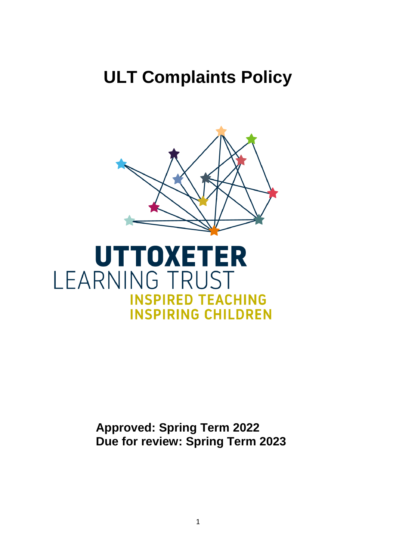# **ULT Complaints Policy**



# **Approved: Spring Term 2022 Due for review: Spring Term 2023**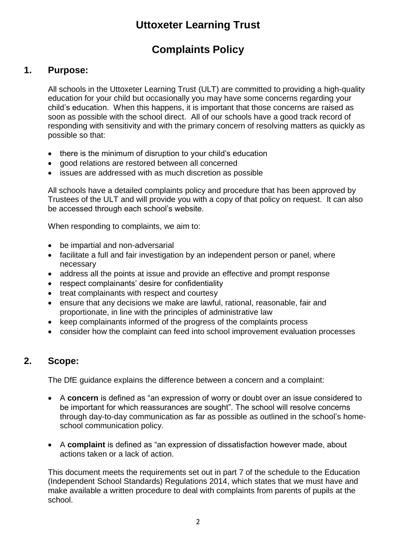# **Uttoxeter Learning Trust**

# **Complaints Policy**

# **1. Purpose:**

All schools in the Uttoxeter Learning Trust (ULT) are committed to providing a high-quality education for your child but occasionally you may have some concerns regarding your child's education. When this happens, it is important that those concerns are raised as soon as possible with the school direct. All of our schools have a good track record of responding with sensitivity and with the primary concern of resolving matters as quickly as possible so that:

- there is the minimum of disruption to your child's education
- good relations are restored between all concerned
- issues are addressed with as much discretion as possible

All schools have a detailed complaints policy and procedure that has been approved by Trustees of the ULT and will provide you with a copy of that policy on request. It can also be accessed through each school's website.

When responding to complaints, we aim to:

- be impartial and non-adversarial
- facilitate a full and fair investigation by an independent person or panel, where necessary
- address all the points at issue and provide an effective and prompt response
- respect complainants' desire for confidentiality
- treat complainants with respect and courtesy
- ensure that any decisions we make are lawful, rational, reasonable, fair and proportionate, in line with the principles of administrative law
- keep complainants informed of the progress of the complaints process
- consider how the complaint can feed into school improvement evaluation processes

### **2. Scope:**

The DfE guidance explains the difference between a concern and a complaint:

- A **concern** is defined as "an expression of worry or doubt over an issue considered to be important for which reassurances are sought". The school will resolve concerns through day-to-day communication as far as possible as outlined in the school's homeschool communication policy.
- A **complaint** is defined as "an expression of dissatisfaction however made, about actions taken or a lack of action.

This document meets the requirements set out in part 7 of the schedule to the [Education](http://www.legislation.gov.uk/uksi/2014/3283/schedule/made)  [\(Independent School Standards\) Regulations 2014,](http://www.legislation.gov.uk/uksi/2014/3283/schedule/made) which states that we must have and make available a written procedure to deal with complaints from parents of pupils at the school.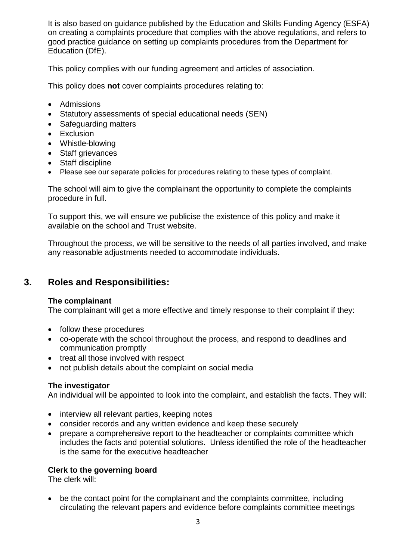It is also based on guidance published by the Education and Skills Funding Agency (ESFA) on [creating a complaints procedure that complies with the above](https://www.gov.uk/government/publications/setting-up-an-academies-complaints-procedure) regulations, and refers to [good practice guidance on setting up complaints procedures](https://www.gov.uk/government/publications/school-complaints-procedures) from the Department for Education (DfE).

This policy complies with our funding agreement and articles of association.

This policy does **not** cover complaints procedures relating to:

- Admissions
- Statutory assessments of special educational needs (SEN)
- Safeguarding matters
- Exclusion
- Whistle-blowing
- Staff grievances
- Staff discipline
- Please see our separate policies for procedures relating to these types of complaint.

The school will aim to give the complainant the opportunity to complete the complaints procedure in full.

To support this, we will ensure we publicise the existence of this policy and make it available on the school and Trust website.

Throughout the process, we will be sensitive to the needs of all parties involved, and make any reasonable adjustments needed to accommodate individuals.

### **3. Roles and Responsibilities:**

#### **The complainant**

The complainant will get a more effective and timely response to their complaint if they:

- follow these procedures
- co-operate with the school throughout the process, and respond to deadlines and communication promptly
- treat all those involved with respect
- not publish details about the complaint on social media

#### **The investigator**

An individual will be appointed to look into the complaint, and establish the facts. They will:

- interview all relevant parties, keeping notes
- consider records and any written evidence and keep these securely
- prepare a comprehensive report to the headteacher or complaints committee which includes the facts and potential solutions. Unless identified the role of the headteacher is the same for the executive headteacher

#### **Clerk to the governing board**

The clerk will:

 be the contact point for the complainant and the complaints committee, including circulating the relevant papers and evidence before complaints committee meetings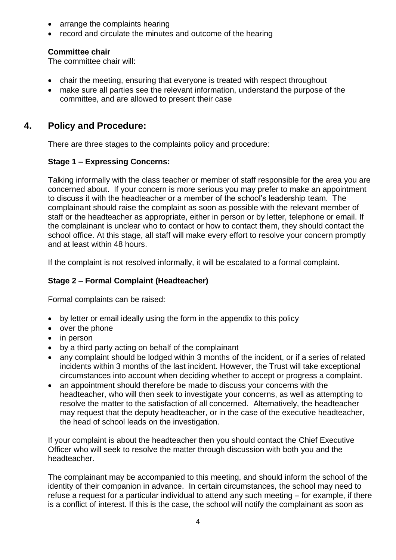- arrange the complaints hearing
- record and circulate the minutes and outcome of the hearing

#### **Committee chair**

The committee chair will:

- chair the meeting, ensuring that everyone is treated with respect throughout
- make sure all parties see the relevant information, understand the purpose of the committee, and are allowed to present their case

# **4. Policy and Procedure:**

There are three stages to the complaints policy and procedure:

#### **Stage 1 – Expressing Concerns:**

Talking informally with the class teacher or member of staff responsible for the area you are concerned about. If your concern is more serious you may prefer to make an appointment to discuss it with the headteacher or a member of the school's leadership team. The complainant should raise the complaint as soon as possible with the relevant member of staff or the headteacher as appropriate, either in person or by letter, telephone or email. If the complainant is unclear who to contact or how to contact them, they should contact the school office. At this stage, all staff will make every effort to resolve your concern promptly and at least within 48 hours.

If the complaint is not resolved informally, it will be escalated to a formal complaint.

#### **Stage 2 – Formal Complaint (Headteacher)**

Formal complaints can be raised:

- by letter or email ideally using the form in the appendix to this policy
- over the phone
- in person
- by a third party acting on behalf of the complainant
- any complaint should be lodged within 3 months of the incident, or if a series of related incidents within 3 months of the last incident. However, the Trust will take exceptional circumstances into account when deciding whether to accept or progress a complaint.
- an appointment should therefore be made to discuss your concerns with the headteacher, who will then seek to investigate your concerns, as well as attempting to resolve the matter to the satisfaction of all concerned. Alternatively, the headteacher may request that the deputy headteacher, or in the case of the executive headteacher, the head of school leads on the investigation.

If your complaint is about the headteacher then you should contact the Chief Executive Officer who will seek to resolve the matter through discussion with both you and the headteacher.

The complainant may be accompanied to this meeting, and should inform the school of the identity of their companion in advance. In certain circumstances, the school may need to refuse a request for a particular individual to attend any such meeting – for example, if there is a conflict of interest. If this is the case, the school will notify the complainant as soon as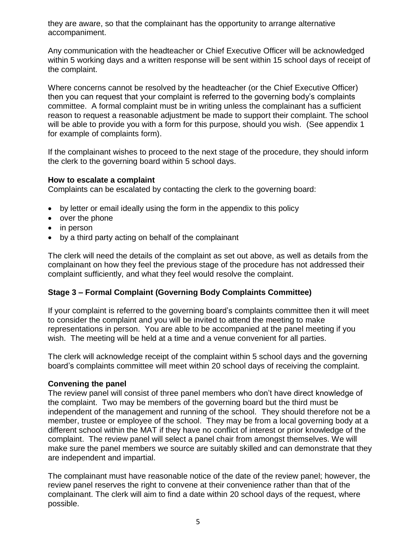they are aware, so that the complainant has the opportunity to arrange alternative accompaniment.

Any communication with the headteacher or Chief Executive Officer will be acknowledged within 5 working days and a written response will be sent within 15 school days of receipt of the complaint.

Where concerns cannot be resolved by the headteacher (or the Chief Executive Officer) then you can request that your complaint is referred to the governing body's complaints committee. A formal complaint must be in writing unless the complainant has a sufficient reason to request a reasonable adjustment be made to support their complaint. The school will be able to provide you with a form for this purpose, should you wish. (See appendix 1 for example of complaints form).

If the complainant wishes to proceed to the next stage of the procedure, they should inform the clerk to the governing board within 5 school days.

#### **How to escalate a complaint**

Complaints can be escalated by contacting the clerk to the governing board:

- by letter or email ideally using the form in the appendix to this policy
- over the phone
- in person
- by a third party acting on behalf of the complainant

The clerk will need the details of the complaint as set out above, as well as details from the complainant on how they feel the previous stage of the procedure has not addressed their complaint sufficiently, and what they feel would resolve the complaint.

#### **Stage 3 – Formal Complaint (Governing Body Complaints Committee)**

If your complaint is referred to the governing board's complaints committee then it will meet to consider the complaint and you will be invited to attend the meeting to make representations in person. You are able to be accompanied at the panel meeting if you wish. The meeting will be held at a time and a venue convenient for all parties.

The clerk will acknowledge receipt of the complaint within 5 school days and the governing board's complaints committee will meet within 20 school days of receiving the complaint.

#### **Convening the panel**

The review panel will consist of three panel members who don't have direct knowledge of the complaint. Two may be members of the governing board but the third must be independent of the management and running of the school. They should therefore not be a member, trustee or employee of the school. They may be from a local governing body at a different school within the MAT if they have no conflict of interest or prior knowledge of the complaint. The review panel will select a panel chair from amongst themselves. We will make sure the panel members we source are suitably skilled and can demonstrate that they are independent and impartial.

The complainant must have reasonable notice of the date of the review panel; however, the review panel reserves the right to convene at their convenience rather than that of the complainant. The clerk will aim to find a date within 20 school days of the request, where possible.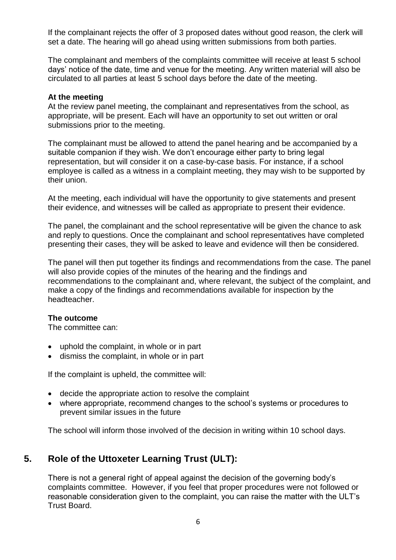If the complainant rejects the offer of 3 proposed dates without good reason, the clerk will set a date. The hearing will go ahead using written submissions from both parties.

The complainant and members of the complaints committee will receive at least 5 school days' notice of the date, time and venue for the meeting. Any written material will also be circulated to all parties at least 5 school days before the date of the meeting.

#### **At the meeting**

At the review panel meeting, the complainant and representatives from the school, as appropriate, will be present. Each will have an opportunity to set out written or oral submissions prior to the meeting.

The complainant must be allowed to attend the panel hearing and be accompanied by a suitable companion if they wish. We don't encourage either party to bring legal representation, but will consider it on a case-by-case basis. For instance, if a school employee is called as a witness in a complaint meeting, they may wish to be supported by their union.

At the meeting, each individual will have the opportunity to give statements and present their evidence, and witnesses will be called as appropriate to present their evidence.

The panel, the complainant and the school representative will be given the chance to ask and reply to questions. Once the complainant and school representatives have completed presenting their cases, they will be asked to leave and evidence will then be considered.

The panel will then put together its findings and recommendations from the case. The panel will also provide copies of the minutes of the hearing and the findings and recommendations to the complainant and, where relevant, the subject of the complaint, and make a copy of the findings and recommendations available for inspection by the headteacher.

#### **The outcome**

The committee can:

- uphold the complaint, in whole or in part
- dismiss the complaint, in whole or in part

If the complaint is upheld, the committee will:

- decide the appropriate action to resolve the complaint
- where appropriate, recommend changes to the school's systems or procedures to prevent similar issues in the future

The school will inform those involved of the decision in writing within 10 school days.

# **5. Role of the Uttoxeter Learning Trust (ULT):**

There is not a general right of appeal against the decision of the governing body's complaints committee. However, if you feel that proper procedures were not followed or reasonable consideration given to the complaint, you can raise the matter with the ULT's Trust Board.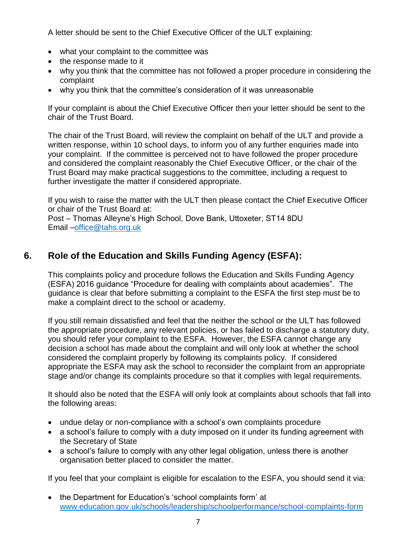A letter should be sent to the Chief Executive Officer of the ULT explaining:

- what your complaint to the committee was
- the response made to it
- why you think that the committee has not followed a proper procedure in considering the complaint
- why you think that the committee's consideration of it was unreasonable

If your complaint is about the Chief Executive Officer then your letter should be sent to the chair of the Trust Board.

The chair of the Trust Board, will review the complaint on behalf of the ULT and provide a written response, within 10 school days, to inform you of any further enquiries made into your complaint. If the committee is perceived not to have followed the proper procedure and considered the complaint reasonably the Chief Executive Officer, or the chair of the Trust Board may make practical suggestions to the committee, including a request to further investigate the matter if considered appropriate.

If you wish to raise the matter with the ULT then please contact the Chief Executive Officer or chair of the Trust Board at:

Post – Thomas Alleyne's High School, Dove Bank, Uttoxeter, ST14 8DU Email [–office@tahs.org.uk](mailto:office@tahs.org.uk)

# **6. Role of the Education and Skills Funding Agency (ESFA):**

This complaints policy and procedure follows the Education and Skills Funding Agency (ESFA) 2016 guidance "Procedure for dealing with complaints about academies". The guidance is clear that before submitting a complaint to the ESFA the first step must be to make a complaint direct to the school or academy.

If you still remain dissatisfied and feel that the neither the school or the ULT has followed the appropriate procedure, any relevant policies, or has failed to discharge a statutory duty, you should refer your complaint to the ESFA. However, the ESFA cannot change any decision a school has made about the complaint and will only look at whether the school considered the complaint properly by following its complaints policy. If considered appropriate the ESFA may ask the school to reconsider the complaint from an appropriate stage and/or change its complaints procedure so that it complies with legal requirements.

It should also be noted that the ESFA will only look at complaints about schools that fall into the following areas:

- undue delay or non-compliance with a school's own complaints procedure
- a school's failure to comply with a duty imposed on it under its funding agreement with the Secretary of State
- a school's failure to comply with any other legal obligation, unless there is another organisation better placed to consider the matter.

If you feel that your complaint is eligible for escalation to the ESFA, you should send it via:

• the Department for Education's 'school complaints form' at [www.education.gov.uk/schools/leadership/schoolperformance/school-complaints-form](http://www.education.gov.uk/schools/leadership/schoolperformance/school-complaints-form)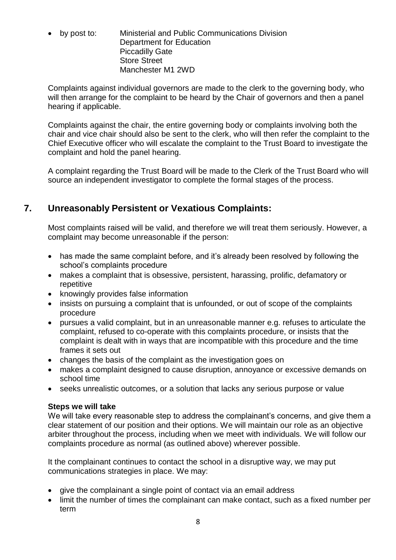by post to: Ministerial and Public Communications Division Department for Education Piccadilly Gate Store Street Manchester M1 2WD

Complaints against individual governors are made to the clerk to the governing body, who will then arrange for the complaint to be heard by the Chair of governors and then a panel hearing if applicable.

Complaints against the chair, the entire governing body or complaints involving both the chair and vice chair should also be sent to the clerk, who will then refer the complaint to the Chief Executive officer who will escalate the complaint to the Trust Board to investigate the complaint and hold the panel hearing.

A complaint regarding the Trust Board will be made to the Clerk of the Trust Board who will source an independent investigator to complete the formal stages of the process.

# **7. Unreasonably Persistent or Vexatious Complaints:**

Most complaints raised will be valid, and therefore we will treat them seriously. However, a complaint may become unreasonable if the person:

- has made the same complaint before, and it's already been resolved by following the school's complaints procedure
- makes a complaint that is obsessive, persistent, harassing, prolific, defamatory or repetitive
- knowingly provides false information
- insists on pursuing a complaint that is unfounded, or out of scope of the complaints procedure
- pursues a valid complaint, but in an unreasonable manner e.g. refuses to articulate the complaint, refused to co-operate with this complaints procedure, or insists that the complaint is dealt with in ways that are incompatible with this procedure and the time frames it sets out
- changes the basis of the complaint as the investigation goes on
- makes a complaint designed to cause disruption, annoyance or excessive demands on school time
- seeks unrealistic outcomes, or a solution that lacks any serious purpose or value

#### **Steps we will take**

We will take every reasonable step to address the complainant's concerns, and give them a clear statement of our position and their options. We will maintain our role as an objective arbiter throughout the process, including when we meet with individuals. We will follow our complaints procedure as normal (as outlined above) wherever possible.

It the complainant continues to contact the school in a disruptive way, we may put communications strategies in place. We may:

- give the complainant a single point of contact via an email address
- limit the number of times the complainant can make contact, such as a fixed number per term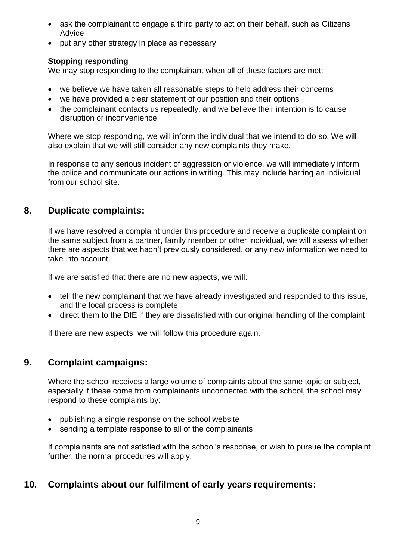- ask the complainant to engage a third party to act on their behalf, such as Citizens [Advice](https://www.citizensadvice.org.uk/)
- put any other strategy in place as necessary

#### **Stopping responding**

We may stop responding to the complainant when all of these factors are met:

- we believe we have taken all reasonable steps to help address their concerns
- we have provided a clear statement of our position and their options
- the complainant contacts us repeatedly, and we believe their intention is to cause disruption or inconvenience

Where we stop responding, we will inform the individual that we intend to do so. We will also explain that we will still consider any new complaints they make.

In response to any serious incident of aggression or violence, we will immediately inform the police and communicate our actions in writing. This may include barring an individual from our school site.

# **8. Duplicate complaints:**

If we have resolved a complaint under this procedure and receive a duplicate complaint on the same subject from a partner, family member or other individual, we will assess whether there are aspects that we hadn't previously considered, or any new information we need to take into account.

If we are satisfied that there are no new aspects, we will:

- tell the new complainant that we have already investigated and responded to this issue, and the local process is complete
- direct them to the DfE if they are dissatisfied with our original handling of the complaint

If there are new aspects, we will follow this procedure again.

### **9. Complaint campaigns:**

Where the school receives a large volume of complaints about the same topic or subject, especially if these come from complainants unconnected with the school, the school may respond to these complaints by:

- publishing a single response on the school website
- sending a template response to all of the complainants

If complainants are not satisfied with the school's response, or wish to pursue the complaint further, the normal procedures will apply.

### **10. Complaints about our fulfilment of early years requirements:**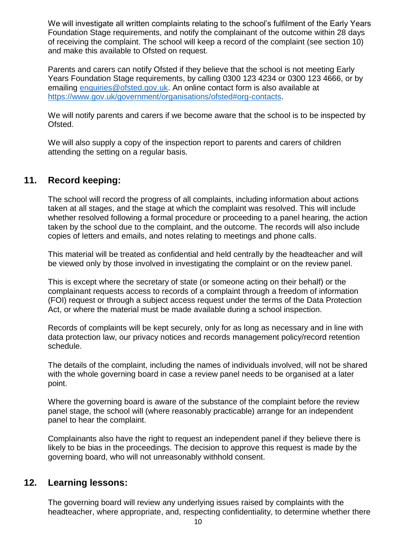We will investigate all written complaints relating to the school's fulfilment of the Early Years Foundation Stage requirements, and notify the complainant of the outcome within 28 days of receiving the complaint. The school will keep a record of the complaint (see section 10) and make this available to Ofsted on request.

Parents and carers can notify Ofsted if they believe that the school is not meeting Early Years Foundation Stage requirements, by calling 0300 123 4234 or 0300 123 4666, or by emailing [enquiries@ofsted.gov.uk.](mailto:enquiries@ofsted.gov.uk) An online contact form is also available at [https://www.gov.uk/government/organisations/ofsted#org-contacts.](https://www.gov.uk/government/organisations/ofsted#org-contacts)

We will notify parents and carers if we become aware that the school is to be inspected by Ofsted.

We will also supply a copy of the inspection report to parents and carers of children attending the setting on a regular basis.

# **11. Record keeping:**

The school will record the progress of all complaints, including information about actions taken at all stages, and the stage at which the complaint was resolved. This will include whether resolved following a formal procedure or proceeding to a panel hearing, the action taken by the school due to the complaint, and the outcome. The records will also include copies of letters and emails, and notes relating to meetings and phone calls.

This material will be treated as confidential and held centrally by the headteacher and will be viewed only by those involved in investigating the complaint or on the review panel.

This is except where the secretary of state (or someone acting on their behalf) or the complainant requests access to records of a complaint through a freedom of information (FOI) request or through a subject access request under the terms of the Data Protection Act, or where the material must be made available during a school inspection.

Records of complaints will be kept securely, only for as long as necessary and in line with data protection law, our privacy notices and records management policy/record retention schedule.

The details of the complaint, including the names of individuals involved, will not be shared with the whole governing board in case a review panel needs to be organised at a later point.

Where the governing board is aware of the substance of the complaint before the review panel stage, the school will (where reasonably practicable) arrange for an independent panel to hear the complaint.

Complainants also have the right to request an independent panel if they believe there is likely to be bias in the proceedings. The decision to approve this request is made by the governing board, who will not unreasonably withhold consent.

#### **12. Learning lessons:**

The governing board will review any underlying issues raised by complaints with the headteacher, where appropriate, and, respecting confidentiality, to determine whether there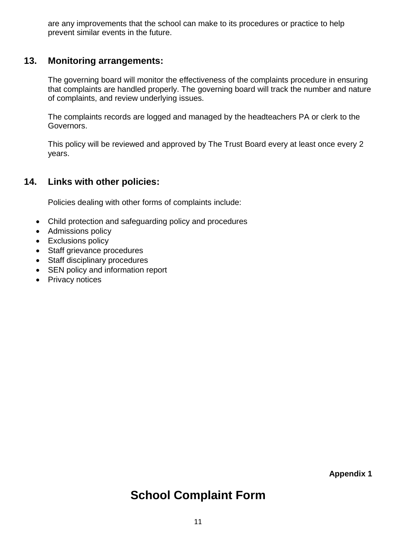are any improvements that the school can make to its procedures or practice to help prevent similar events in the future.

# **13. Monitoring arrangements:**

The governing board will monitor the effectiveness of the complaints procedure in ensuring that complaints are handled properly. The governing board will track the number and nature of complaints, and review underlying issues.

The complaints records are logged and managed by the headteachers PA or clerk to the Governors.

This policy will be reviewed and approved by The Trust Board every at least once every 2 years.

# **14. Links with other policies:**

Policies dealing with other forms of complaints include:

- Child protection and safeguarding policy and procedures
- Admissions policy
- Exclusions policy
- Staff grievance procedures
- Staff disciplinary procedures
- SEN policy and information report
- Privacy notices

**Appendix 1**

# **School Complaint Form**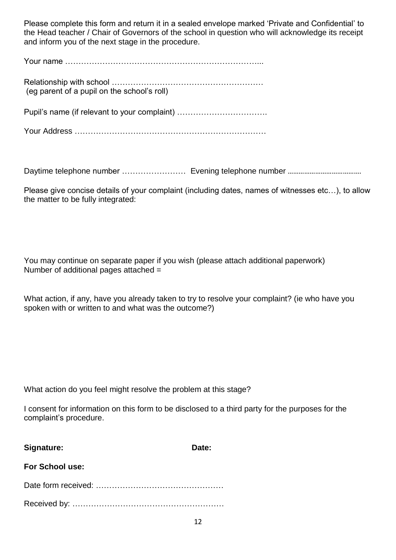Please complete this form and return it in a sealed envelope marked 'Private and Confidential' to the Head teacher / Chair of Governors of the school in question who will acknowledge its receipt and inform you of the next stage in the procedure.

| (eq parent of a pupil on the school's roll)  |  |
|----------------------------------------------|--|
| Pupil's name (if relevant to your complaint) |  |
|                                              |  |

Daytime telephone number …………………… Evening telephone number ………………………………….

Please give concise details of your complaint (including dates, names of witnesses etc…), to allow the matter to be fully integrated:

You may continue on separate paper if you wish (please attach additional paperwork) Number of additional pages attached =

What action, if any, have you already taken to try to resolve your complaint? (ie who have you spoken with or written to and what was the outcome?)

What action do you feel might resolve the problem at this stage?

I consent for information on this form to be disclosed to a third party for the purposes for the complaint's procedure.

| Signature:             | Date: |
|------------------------|-------|
| <b>For School use:</b> |       |
|                        |       |
|                        |       |